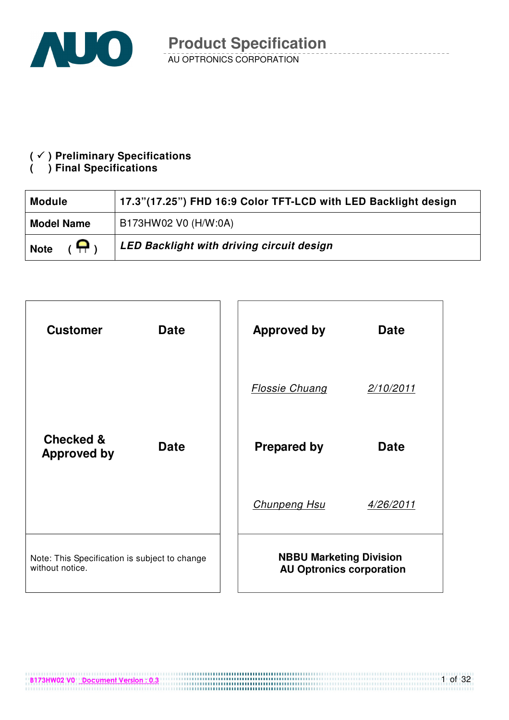

#### **( ) Preliminary Specifications**

## **( ) Final Specifications**

| <b>Module</b>                         | 17.3"(17.25") FHD 16:9 Color TFT-LCD with LED Backlight design |  |  |  |
|---------------------------------------|----------------------------------------------------------------|--|--|--|
| <b>Model Name</b>                     | B173HW02 V0 (H/W:0A)                                           |  |  |  |
| $(\,\,\blacksquare\,)$<br><b>Note</b> | LED Backlight with driving circuit design                      |  |  |  |



B173HW02 V0 Document Version : 0.3

1 of 32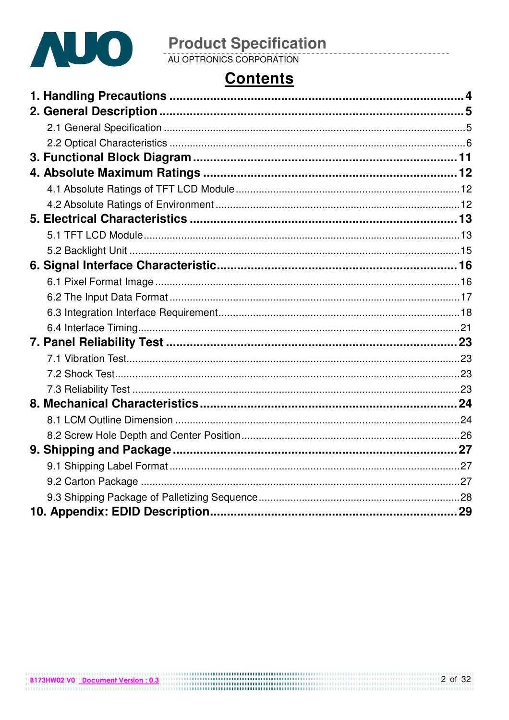

## **Contents**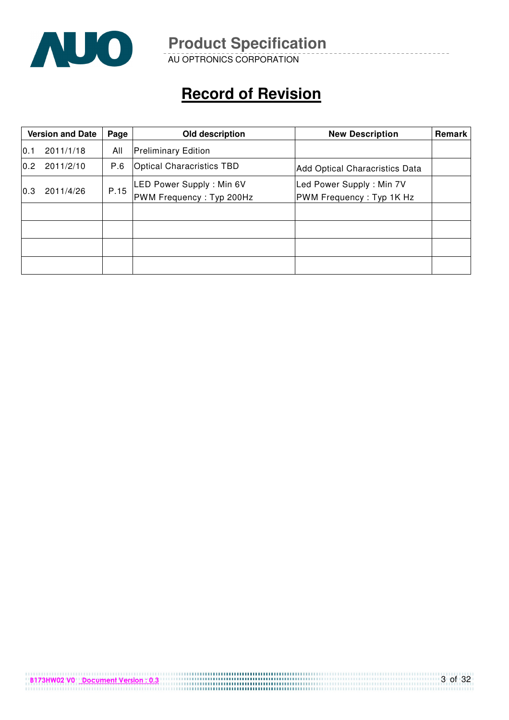

AU OPTRONICS CORPORATION

## **Record of Revision**

|     | <b>Version and Date</b> | Page | Old description                                      | <b>New Description</b>                               | Remark |
|-----|-------------------------|------|------------------------------------------------------|------------------------------------------------------|--------|
| 0.1 | 2011/1/18               | All  | <b>Preliminary Edition</b>                           |                                                      |        |
| 0.2 | 2011/2/10               | P.6  | <b>Optical Characristics TBD</b>                     | Add Optical Characristics Data                       |        |
| 0.3 | 2011/4/26               | P.15 | LED Power Supply: Min 6V<br>PWM Frequency: Typ 200Hz | Led Power Supply: Min 7V<br>PWM Frequency: Typ 1K Hz |        |
|     |                         |      |                                                      |                                                      |        |
|     |                         |      |                                                      |                                                      |        |
|     |                         |      |                                                      |                                                      |        |
|     |                         |      |                                                      |                                                      |        |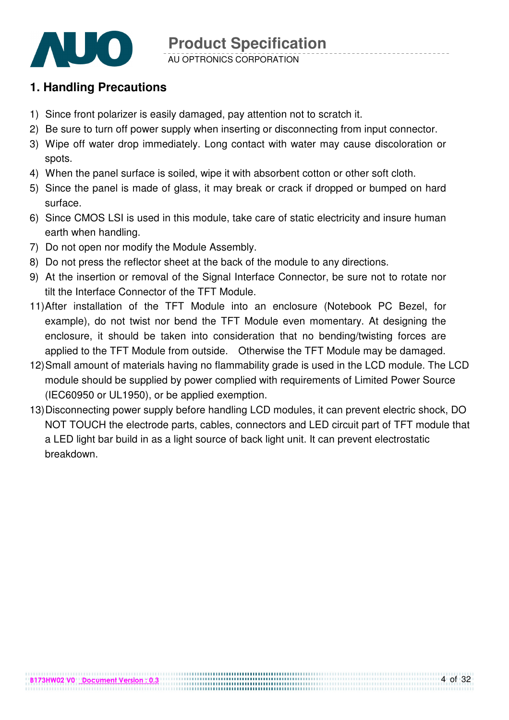

AU OPTRONICS CORPORATION

### **1. Handling Precautions**

- 1) Since front polarizer is easily damaged, pay attention not to scratch it.
- 2) Be sure to turn off power supply when inserting or disconnecting from input connector.
- 3) Wipe off water drop immediately. Long contact with water may cause discoloration or spots.
- 4) When the panel surface is soiled, wipe it with absorbent cotton or other soft cloth.
- 5) Since the panel is made of glass, it may break or crack if dropped or bumped on hard surface.
- 6) Since CMOS LSI is used in this module, take care of static electricity and insure human earth when handling.
- 7) Do not open nor modify the Module Assembly.
- 8) Do not press the reflector sheet at the back of the module to any directions.
- 9) At the insertion or removal of the Signal Interface Connector, be sure not to rotate nor tilt the Interface Connector of the TFT Module.
- 11) After installation of the TFT Module into an enclosure (Notebook PC Bezel, for example), do not twist nor bend the TFT Module even momentary. At designing the enclosure, it should be taken into consideration that no bending/twisting forces are applied to the TFT Module from outside. Otherwise the TFT Module may be damaged.
- 12) Small amount of materials having no flammability grade is used in the LCD module. The LCD module should be supplied by power complied with requirements of Limited Power Source (IEC60950 or UL1950), or be applied exemption.
- 13) Disconnecting power supply before handling LCD modules, it can prevent electric shock, DO NOT TOUCH the electrode parts, cables, connectors and LED circuit part of TFT module that a LED light bar build in as a light source of back light unit. It can prevent electrostatic breakdown.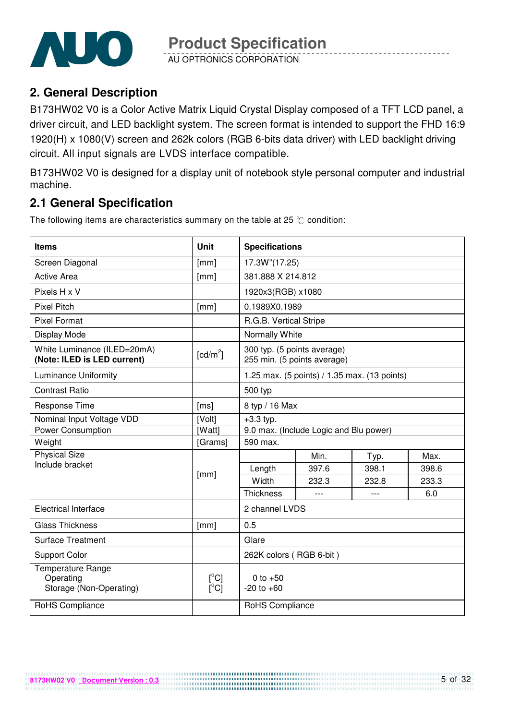

AU OPTRONICS CORPORATION

#### **2. General Description**

B173HW02 V0 is a Color Active Matrix Liquid Crystal Display composed of a TFT LCD panel, a driver circuit, and LED backlight system. The screen format is intended to support the FHD 16:9 1920(H) x 1080(V) screen and 262k colors (RGB 6-bits data driver) with LED backlight driving circuit. All input signals are LVDS interface compatible.

B173HW02 V0 is designed for a display unit of notebook style personal computer and industrial machine.

#### **2.1 General Specification**

The following items are characteristics summary on the table at 25  $\degree$ C condition:

| Items                                                      | <b>Unit</b>                                                      | <b>Specifications</b>                                      |                                        |        |       |  |
|------------------------------------------------------------|------------------------------------------------------------------|------------------------------------------------------------|----------------------------------------|--------|-------|--|
| Screen Diagonal                                            | [mm]                                                             | 17.3W"(17.25)                                              |                                        |        |       |  |
| <b>Active Area</b>                                         | [mm]                                                             | 381.888 X 214.812                                          |                                        |        |       |  |
| Pixels H x V                                               |                                                                  | 1920x3(RGB) x1080                                          |                                        |        |       |  |
| <b>Pixel Pitch</b>                                         | [mm]                                                             | 0.1989X0.1989                                              |                                        |        |       |  |
| <b>Pixel Format</b>                                        |                                                                  | R.G.B. Vertical Stripe                                     |                                        |        |       |  |
| Display Mode                                               |                                                                  | Normally White                                             |                                        |        |       |  |
| White Luminance (ILED=20mA)<br>(Note: ILED is LED current) | $\lceil cd/m^2 \rceil$                                           | 300 typ. (5 points average)<br>255 min. (5 points average) |                                        |        |       |  |
| <b>Luminance Uniformity</b>                                |                                                                  | 1.25 max. (5 points) / 1.35 max. (13 points)               |                                        |        |       |  |
| <b>Contrast Ratio</b>                                      |                                                                  | 500 typ                                                    |                                        |        |       |  |
| Response Time                                              | [ms]                                                             | 8 typ / 16 Max                                             |                                        |        |       |  |
| Nominal Input Voltage VDD                                  | [Volt]                                                           | $+3.3$ typ.                                                |                                        |        |       |  |
| <b>Power Consumption</b>                                   | [Watt]                                                           |                                                            | 9.0 max. (Include Logic and Blu power) |        |       |  |
| Weight                                                     | [Grams]                                                          | 590 max.                                                   |                                        |        |       |  |
| <b>Physical Size</b>                                       |                                                                  |                                                            | Min.                                   | Typ.   | Max.  |  |
| Include bracket                                            | [mm]                                                             | Length                                                     | 397.6                                  | 398.1  | 398.6 |  |
|                                                            |                                                                  | Width                                                      | 232.3                                  | 232.8  | 233.3 |  |
|                                                            |                                                                  | <b>Thickness</b>                                           |                                        | $-$ -- | 6.0   |  |
| <b>Electrical Interface</b>                                |                                                                  | 2 channel LVDS                                             |                                        |        |       |  |
| <b>Glass Thickness</b>                                     | [mm]                                                             | 0.5                                                        |                                        |        |       |  |
| <b>Surface Treatment</b>                                   |                                                                  | Glare                                                      |                                        |        |       |  |
| <b>Support Color</b>                                       |                                                                  | 262K colors (RGB 6-bit)                                    |                                        |        |       |  |
| Temperature Range<br>Operating<br>Storage (Non-Operating)  | $\lceil{^{\circ}C}\rceil$<br>$\overline{[}^{\circ}C\overline{]}$ | 0 to $+50$<br>$-20$ to $+60$                               |                                        |        |       |  |
| RoHS Compliance                                            |                                                                  | RoHS Compliance                                            |                                        |        |       |  |

...................................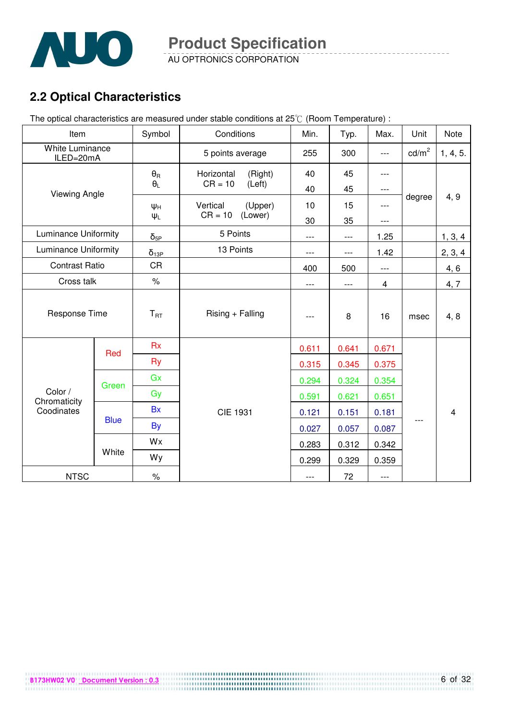

AU OPTRONICS CORPORATION

## **2.2 Optical Characteristics**

The optical characteristics are measured under stable conditions at 25°C (Room Temperature) :

| Item                                |             | Symbol                | Conditions            | Min.  | Typ.  | Max.  | Unit              | Note                    |
|-------------------------------------|-------------|-----------------------|-----------------------|-------|-------|-------|-------------------|-------------------------|
| <b>White Luminance</b><br>ILED=20mA |             |                       | 5 points average      | 255   | 300   | $---$ | cd/m <sup>2</sup> | 1, 4, 5.                |
|                                     |             | $\theta_{\mathsf{R}}$ | Horizontal<br>(Right) | 40    | 45    | ---   |                   |                         |
| <b>Viewing Angle</b>                |             | $\theta_L$            | $CR = 10$<br>(Left)   | 40    | 45    | $---$ |                   |                         |
|                                     |             | $\Psi_H$              | Vertical<br>(Upper)   | 10    | 15    | $---$ | degree            | 4, 9                    |
|                                     |             | $\Psi_L$              | (Lower)<br>$CR = 10$  | 30    | 35    | ---   |                   |                         |
| <b>Luminance Uniformity</b>         |             | $\delta_{\text{5P}}$  | 5 Points              | $---$ | ---   | 1.25  |                   | 1, 3, 4                 |
| <b>Luminance Uniformity</b>         |             | $\delta_{13P}$        | 13 Points             | $---$ | ---   | 1.42  |                   | 2, 3, 4                 |
| <b>Contrast Ratio</b>               |             | CR                    |                       | 400   | 500   | ---   |                   | 4, 6                    |
| Cross talk                          |             | $\%$                  |                       | $---$ | ---   | 4     |                   | 4, 7                    |
| Response Time                       |             | $T_{RT}$              | Rising + Falling      | ---   | 8     | 16    | msec              | 4, 8                    |
|                                     | Red         | <b>Rx</b>             |                       | 0.611 | 0.641 | 0.671 |                   |                         |
|                                     |             | <b>Ry</b>             |                       | 0.315 | 0.345 | 0.375 |                   |                         |
|                                     | Green       | Gx                    |                       | 0.294 | 0.324 | 0.354 |                   |                         |
| Color /<br>Chromaticity             |             | Gy                    |                       | 0.591 | 0.621 | 0.651 |                   |                         |
| Coodinates                          |             | <b>Bx</b>             | <b>CIE 1931</b>       | 0.121 | 0.151 | 0.181 |                   | $\overline{\mathbf{4}}$ |
|                                     | <b>Blue</b> | <b>By</b>             |                       | 0.027 | 0.057 | 0.087 |                   |                         |
|                                     |             | Wx                    |                       | 0.283 | 0.312 | 0.342 |                   |                         |
|                                     | White       | Wy                    |                       | 0.299 | 0.329 | 0.359 |                   |                         |
| <b>NTSC</b>                         |             | $\%$                  |                       | ---   | 72    | ---   |                   |                         |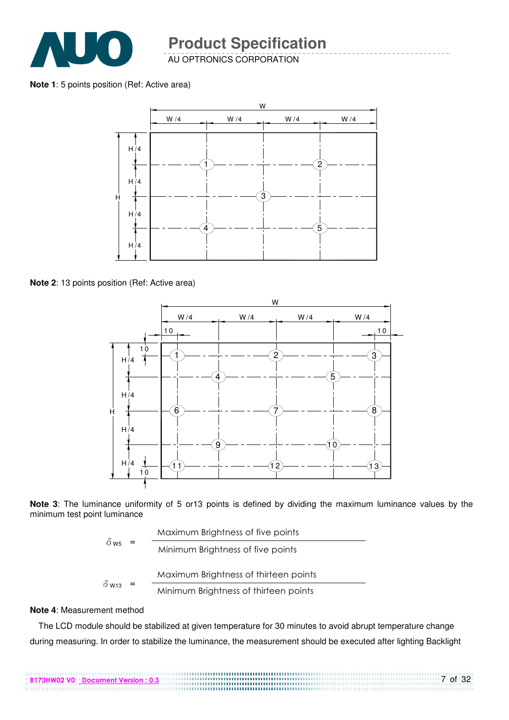

AU OPTRONICS CORPORATION

**Note 1**: 5 points position (Ref: Active area)



**Note 2**: 13 points position (Ref: Active area)



**Note 3**: The luminance uniformity of 5 or13 points is defined by dividing the maximum luminance values by the minimum test point luminance

> $\delta$  w Maximum Brightness of thirteen points Maximum Brightness of five points  $\delta_{\text{W5}}$  =  $\frac{1}{\text{Minimum~Brightness of five points}}$

$$
W13 - Minimum Bridhness of thirteen points
$$

B173HW02 V0 Document Version : 0.3

#### **Note 4**: Measurement method

The LCD module should be stabilized at given temperature for 30 minutes to avoid abrupt temperature change during measuring. In order to stabilize the luminance, the measurement should be executed after lighting Backlight

7 of 32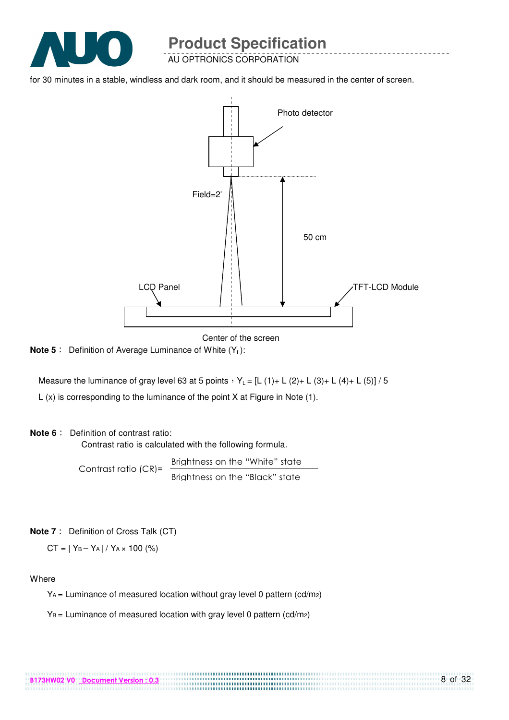

AU OPTRONICS CORPORATION

for 30 minutes in a stable, windless and dark room, and it should be measured in the center of screen.



Center of the screen

**Note 5** : Definition of Average Luminance of White (Y<sub>L</sub>):

Measure the luminance of gray level 63 at 5 points  $Y_L = [L (1) + L (2) + L (3) + L (4) + L (5)] / 5$ 

L (x) is corresponding to the luminance of the point X at Figure in Note (1).

#### **Note 6** : Definition of contrast ratio:

Contrast ratio is calculated with the following formula.

Contrast ratio (CR)= Brightness on the "White" state Brightness on the "Black" state

**Note 7** : Definition of Cross Talk (CT)

 $CT = |Y_B - Y_A| / Y_A \times 100$  (%)

#### Where

YA = Luminance of measured location without gray level 0 pattern (cd/m2)

.................................

 $Y_B$  = Luminance of measured location with gray level 0 pattern (cd/m<sub>2</sub>)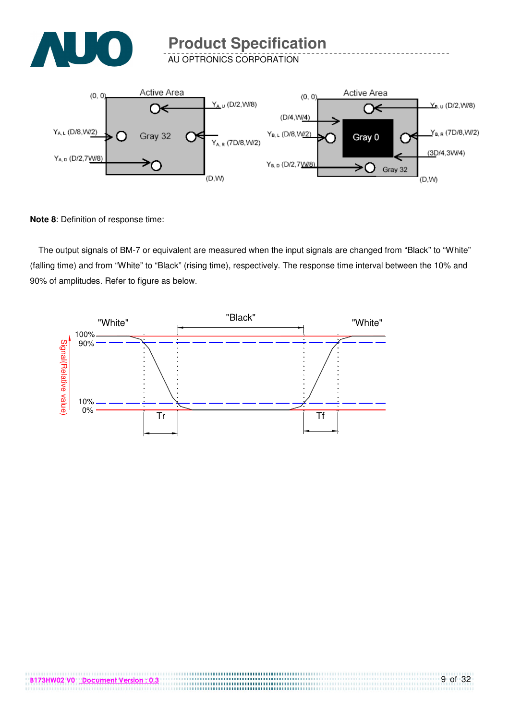

AU OPTRONICS CORPORATION



**Note 8**: Definition of response time:

The output signals of BM-7 or equivalent are measured when the input signals are changed from "Black" to "White" (falling time) and from "White" to "Black" (rising time), respectively. The response time interval between the 10% and 90% of amplitudes. Refer to figure as below.



,,,,,,,,,,,,,,,,,,,,,,,,,,,,,,,,,,,,,

.............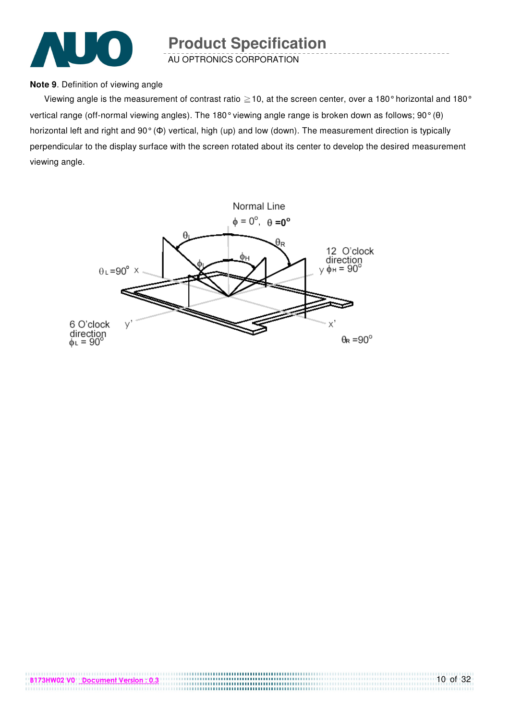

AU OPTRONICS CORPORATION

#### **Note 9**. Definition of viewing angle

Viewing angle is the measurement of contrast ratio  $\geq$  10, at the screen center, over a 180° horizontal and 180° vertical range (off-normal viewing angles). The 180° viewing angle range is broken down as follows; 90° (θ) horizontal left and right and 90° (Φ) vertical, high (up) and low (down). The measurement direction is typically perpendicular to the display surface with the screen rotated about its center to develop the desired measurement viewing angle.

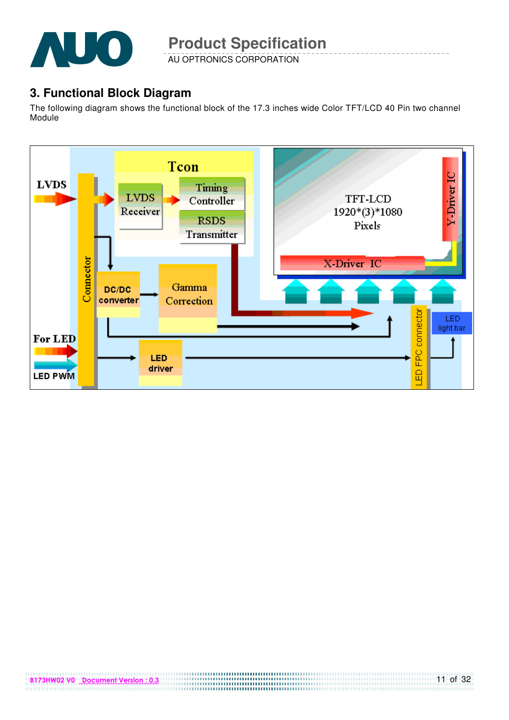

AU OPTRONICS CORPORATION

#### **3. Functional Block Diagram**

The following diagram shows the functional block of the 17.3 inches wide Color TFT/LCD 40 Pin two channel Module

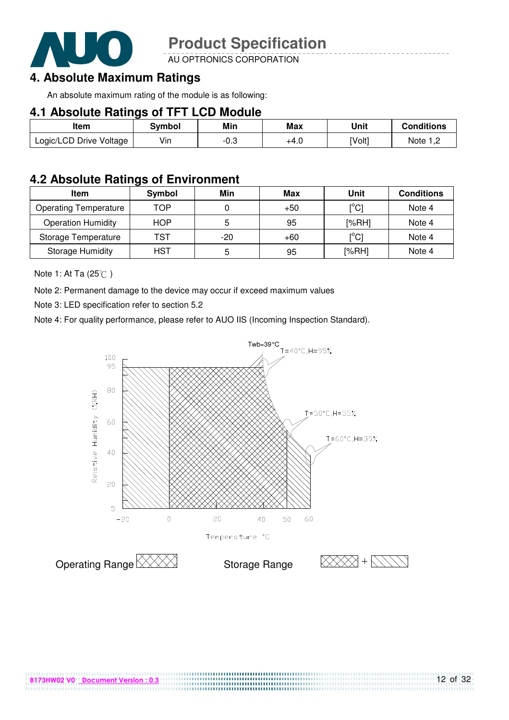

AU OPTRONICS CORPORATION

### **4. Absolute Maximum Ratings**

An absolute maximum rating of the module is as following:

#### **4.1 Absolute Ratings of TFT LCD Module**

| ltem                    | Svmbol | Min        | Max  | Unit   | <b>Conditions</b> |
|-------------------------|--------|------------|------|--------|-------------------|
| Logic/LCD Drive Voltage | Vin    | ∩≏<br>-v.J | +4.0 | [Volt] | Note              |

#### **4.2 Absolute Ratings of Environment**

| <b>Item</b>                  | Symbol     | Min | Max   | Unit                      | <b>Conditions</b> |
|------------------------------|------------|-----|-------|---------------------------|-------------------|
| <b>Operating Temperature</b> | TOP        |     | $+50$ | $\lceil{^{\circ}C}\rceil$ | Note 4            |
| <b>Operation Humidity</b>    | <b>HOP</b> | 5   | 95    | [%RH]                     | Note 4            |
| Storage Temperature          | TST        | -20 | $+60$ | $\lceil{^{\circ}C}\rceil$ | Note 4            |
| <b>Storage Humidity</b>      | HST        | 5   | 95    | [%RH]                     | Note 4            |

Note 1: At Ta (25°C)

Note 2: Permanent damage to the device may occur if exceed maximum values

Note 3: LED specification refer to section 5.2

Note 4: For quality performance, please refer to AUO IIS (Incoming Inspection Standard).



................................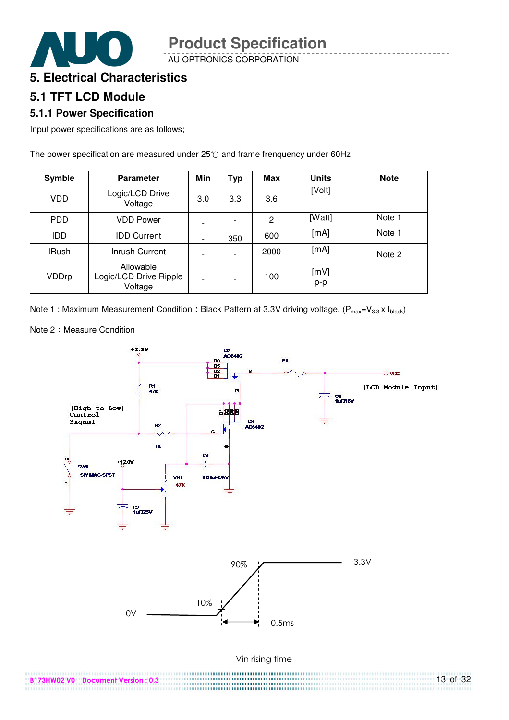

AU OPTRONICS CORPORATION

#### **5. Electrical Characteristics**

#### **5.1 TFT LCD Module**

#### **5.1.1 Power Specification**

Input power specifications are as follows;

The power specification are measured under  $25^{\circ}$  and frame frenquency under 60Hz

| <b>Symble</b> | <b>Parameter</b>                               | Min                      | Typ                      | <b>Max</b> | <b>Units</b> | <b>Note</b> |
|---------------|------------------------------------------------|--------------------------|--------------------------|------------|--------------|-------------|
| VDD           | Logic/LCD Drive<br>Voltage                     | 3.0                      | 3.3                      | 3.6        | [Volt]       |             |
| PDD           | <b>VDD Power</b>                               |                          |                          | 2          | [Watt]       | Note 1      |
| IDD           | <b>IDD Current</b>                             | $\overline{\phantom{a}}$ | 350                      | 600        | [mA]         | Note 1      |
| <b>IRush</b>  | Inrush Current                                 |                          |                          | 2000       | [mA]         | Note 2      |
| VDDrp         | Allowable<br>Logic/LCD Drive Ripple<br>Voltage | $\overline{\phantom{0}}$ | $\overline{\phantom{0}}$ | 100        | [mV]<br>p-p  |             |

Note 1 : Maximum Measurement Condition : Black Pattern at 3.3V driving voltage. ( $P_{max}=V_{3.3} \times I_{black}$ )

Note 2: Measure Condition

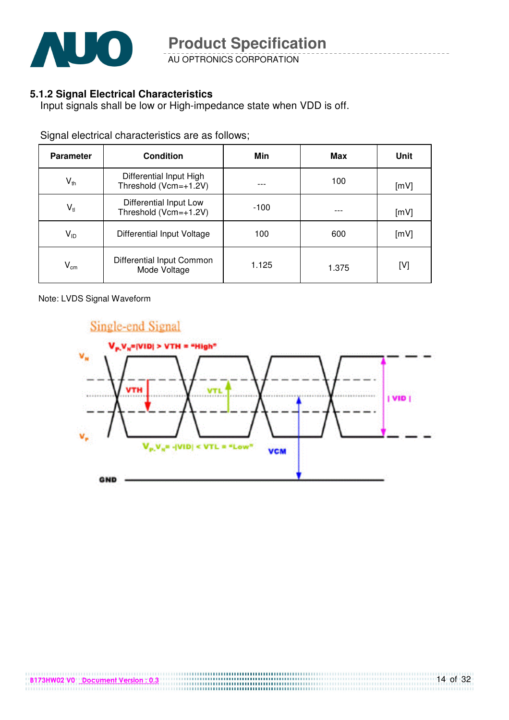

AU OPTRONICS CORPORATION

#### **5.1.2 Signal Electrical Characteristics**

Input signals shall be low or High-impedance state when VDD is off.

Signal electrical characteristics are as follows;

| <b>Parameter</b>           | <b>Condition</b>                                 | Min    | Max   | Unit |
|----------------------------|--------------------------------------------------|--------|-------|------|
| $\mathsf{V}_{\mathsf{th}}$ | Differential Input High<br>Threshold (Vcm=+1.2V) |        | 100   | [mV] |
| $\mathsf{V}_{\mathsf{tl}}$ | Differential Input Low<br>Threshold (Vcm=+1.2V)  | $-100$ |       | [mV] |
| $V_{ID}$                   | Differential Input Voltage                       | 100    | 600   | [mV] |
| $\mathsf{V_{cm}}$          | Differential Input Common<br>Mode Voltage        | 1.125  | 1.375 | [V]  |

Note: LVDS Signal Waveform

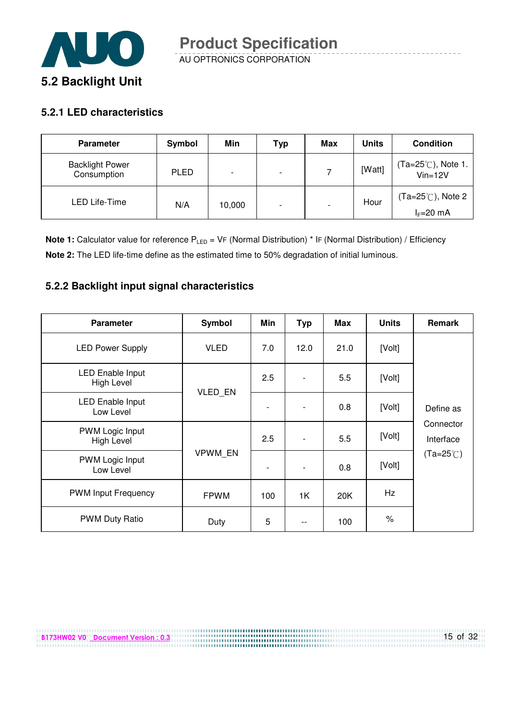

#### **5.2.1 LED characteristics**

B173HW02 V0 Document Version : 0.3

| <b>Parameter</b>                      | Symbol      | Min    | Typ                      | Max                      | <b>Units</b> | <b>Condition</b>                           |
|---------------------------------------|-------------|--------|--------------------------|--------------------------|--------------|--------------------------------------------|
| <b>Backlight Power</b><br>Consumption | <b>PLED</b> |        | $\overline{\phantom{0}}$ |                          | [Watt]       | $(Ta=25^{\circ}$ C), Note 1.<br>$Vin=12V$  |
| LED Life-Time                         | N/A         | 10,000 | $\overline{\phantom{0}}$ | $\overline{\phantom{a}}$ | Hour         | $(Ta=25^{\circ}$ C), Note 2<br>$l = 20$ mA |

**Note 1:** Calculator value for reference P<sub>LED</sub> = VF (Normal Distribution) \* IF (Normal Distribution) / Efficiency **Note 2:** The LED life-time define as the estimated time to 50% degradation of initial luminous.

#### **5.2.2 Backlight input signal characteristics**

| <b>Parameter</b>                     | Symbol         | Min                      | <b>Typ</b>               | Max  | <b>Units</b> | <b>Remark</b>          |
|--------------------------------------|----------------|--------------------------|--------------------------|------|--------------|------------------------|
| <b>LED Power Supply</b>              | <b>VLED</b>    | 7.0                      | 12.0                     | 21.0 | [Volt]       |                        |
| LED Enable Input<br>High Level       | VLED_EN        | 2.5                      | $\overline{\phantom{a}}$ | 5.5  | [Volt]       |                        |
| LED Enable Input<br>Low Level        |                | $\overline{a}$           | $\overline{\phantom{a}}$ | 0.8  | [Volt]       | Define as              |
| PWM Logic Input<br><b>High Level</b> |                | 2.5                      | $\overline{\phantom{a}}$ | 5.5  | [Volt]       | Connector<br>Interface |
| PWM Logic Input<br>Low Level         | <b>VPWM EN</b> | $\overline{\phantom{a}}$ | $\overline{\phantom{a}}$ | 0.8  | [Volt]       | $(Ta=25^{\circ}C)$     |
| <b>PWM Input Frequency</b>           | <b>FPWM</b>    | 100                      | 1K                       | 20K  | Hz           |                        |
| <b>PWM Duty Ratio</b>                | Duty           | 5                        |                          | 100  | $\%$         |                        |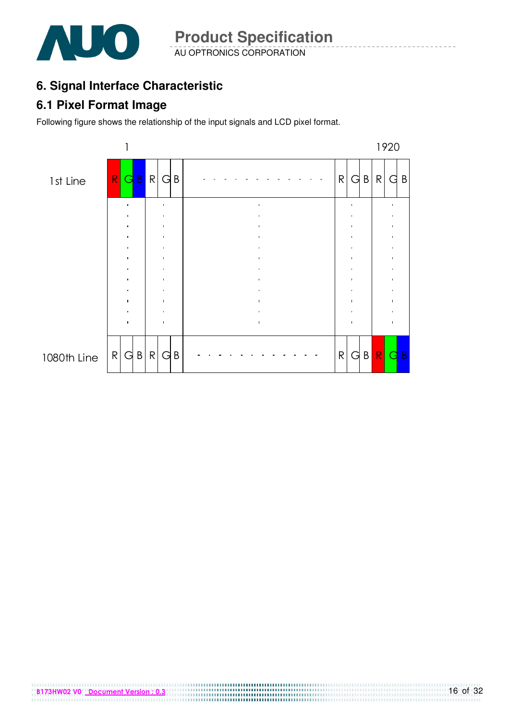

## **6. Signal Interface Characteristic**

#### **6.1 Pixel Format Image**

Following figure shows the relationship of the input signals and LCD pixel format.

B173HW02 V0 Document Version : 0.3

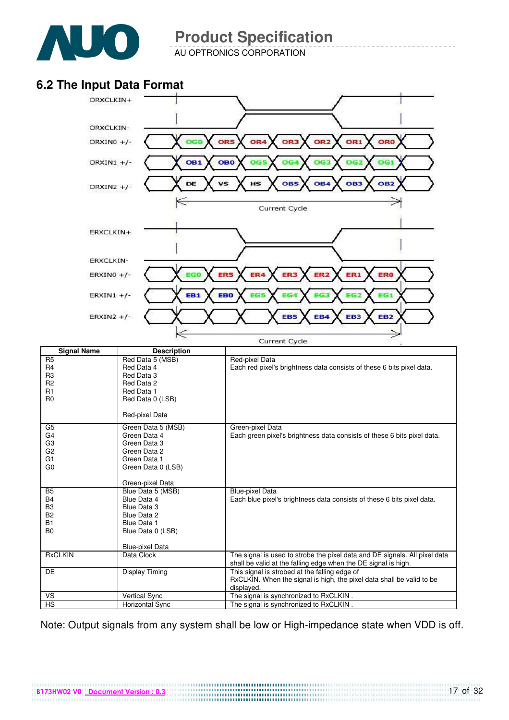

R5 R4 R3 R2 R1 R0

G5 G4 G3 G2 G1 G0 **Product Specification** 

AU OPTRONICS CORPORATION

#### **6.2 The Input Data Format**



|                | Green-pixel Data       |                                                                            |
|----------------|------------------------|----------------------------------------------------------------------------|
| <b>B5</b>      | Blue Data 5 (MSB)      | <b>Blue-pixel Data</b>                                                     |
| B4             | Blue Data 4            | Each blue pixel's brightness data consists of these 6 bits pixel data.     |
| B <sub>3</sub> | Blue Data 3            |                                                                            |
| <b>B2</b>      | Blue Data 2            |                                                                            |
| B <sub>1</sub> | Blue Data 1            |                                                                            |
| B <sub>0</sub> | Blue Data 0 (LSB)      |                                                                            |
|                |                        |                                                                            |
|                | <b>Blue-pixel Data</b> |                                                                            |
| <b>RxCLKIN</b> | Data Clock             | The signal is used to strobe the pixel data and DE signals. All pixel data |
|                |                        | shall be valid at the falling edge when the DE signal is high.             |
| <b>DE</b>      | Display Timing         | This signal is strobed at the falling edge of                              |
|                |                        | RxCLKIN. When the signal is high, the pixel data shall be valid to be      |
|                |                        | displayed.                                                                 |
| <b>VS</b>      | <b>Vertical Sync</b>   | The signal is synchronized to RxCLKIN.                                     |
| <b>HS</b>      | Horizontal Sync        | The signal is synchronized to RxCLKIN.                                     |

Note: Output signals from any system shall be low or High-impedance state when VDD is off.

B173HW02 V0 Document Version : 0.3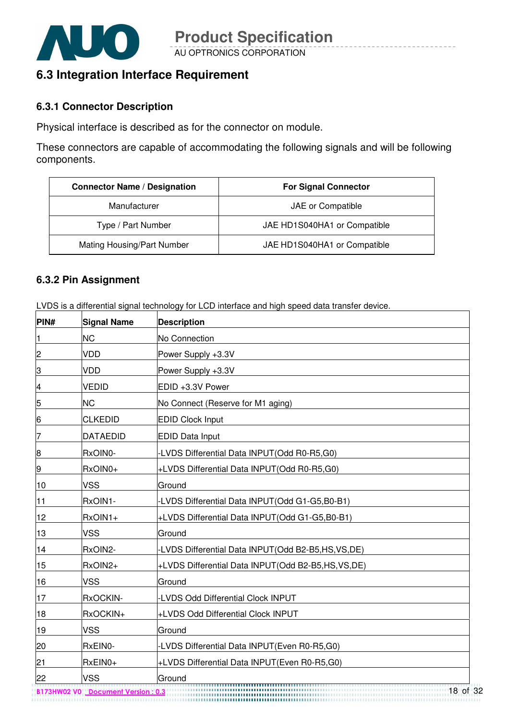

#### **6.3 Integration Interface Requirement**

#### **6.3.1 Connector Description**

Physical interface is described as for the connector on module.

These connectors are capable of accommodating the following signals and will be following components.

| <b>Connector Name / Designation</b> | <b>For Signal Connector</b>  |
|-------------------------------------|------------------------------|
| Manufacturer                        | JAE or Compatible            |
| Type / Part Number                  | JAE HD1S040HA1 or Compatible |
| Mating Housing/Part Number          | JAE HD1S040HA1 or Compatible |

#### **6.3.2 Pin Assignment**

LVDS is a differential signal technology for LCD interface and high speed data transfer device.

| PIN#            | <b>Signal Name</b> | <b>Description</b>                                  |
|-----------------|--------------------|-----------------------------------------------------|
| $\mathbf{1}$    | <b>NC</b>          | No Connection                                       |
| $\overline{c}$  | <b>VDD</b>         | Power Supply +3.3V                                  |
| S)              | <b>VDD</b>         | Power Supply +3.3V                                  |
| $\overline{4}$  | <b>VEDID</b>       | EDID +3.3V Power                                    |
| 5               | <b>NC</b>          | No Connect (Reserve for M1 aging)                   |
| $6 \overline{}$ | <b>CLKEDID</b>     | <b>EDID Clock Input</b>                             |
| 7               | <b>DATAEDID</b>    | <b>EDID Data Input</b>                              |
| 8               | RxOIN0-            | -LVDS Differential Data INPUT(Odd R0-R5,G0)         |
| 9               | RxOIN0+            | +LVDS Differential Data INPUT(Odd R0-R5,G0)         |
| 10              | <b>VSS</b>         | Ground                                              |
| 11              | RxOIN1-            | -LVDS Differential Data INPUT(Odd G1-G5,B0-B1)      |
| 12              | RxOIN1+            | +LVDS Differential Data INPUT(Odd G1-G5,B0-B1)      |
| 13              | <b>VSS</b>         | Ground                                              |
| 14              | RxOIN2-            | -LVDS Differential Data INPUT(Odd B2-B5,HS,VS,DE)   |
| 15              | RxOIN2+            | +LVDS Differential Data INPUT(Odd B2-B5,HS, VS, DE) |
| 16              | <b>VSS</b>         | Ground                                              |
| 17              | RxOCKIN-           | -LVDS Odd Differential Clock INPUT                  |
| 18              | RxOCKIN+           | +LVDS Odd Differential Clock INPUT                  |
| 19              | <b>VSS</b>         | Ground                                              |
| 20              | RxEIN0-            | -LVDS Differential Data INPUT(Even R0-R5,G0)        |
| 21              | RxEIN0+            | +LVDS Differential Data INPUT(Even R0-R5,G0)        |
| 22              | <b>VSS</b>         | Ground                                              |

B173HW02 V0 Document Version : 0.3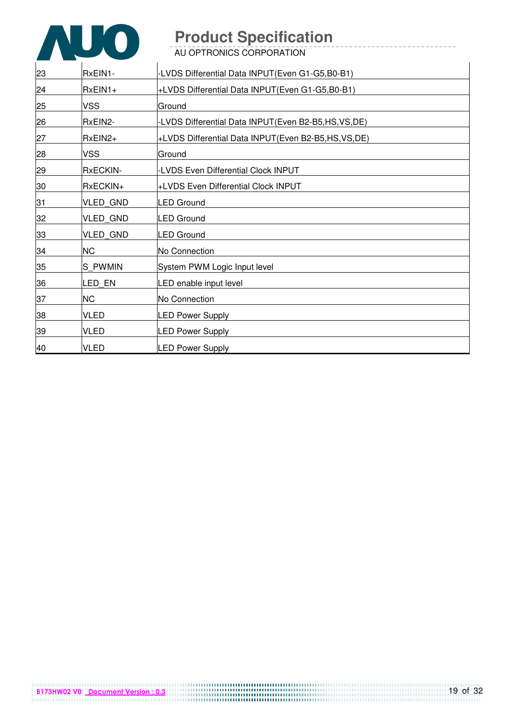

| 23 | RxEIN1-         | -LVDS Differential Data INPUT(Even G1-G5,B0-B1)    |
|----|-----------------|----------------------------------------------------|
| 24 | RxEIN1+         | +LVDS Differential Data INPUT(Even G1-G5,B0-B1)    |
| 25 | <b>VSS</b>      | Ground                                             |
| 26 | RxEIN2-         | -LVDS Differential Data INPUT(Even B2-B5,HS,VS,DE) |
| 27 | RxEIN2+         | +LVDS Differential Data INPUT(Even B2-B5,HS,VS,DE) |
| 28 | <b>VSS</b>      | Ground                                             |
| 29 | <b>RxECKIN-</b> | <b>LVDS Even Differential Clock INPUT</b>          |
| 30 | RxECKIN+        | +LVDS Even Differential Clock INPUT                |
| 31 | VLED_GND        | <b>LED Ground</b>                                  |
| 32 | <b>VLED GND</b> | <b>LED Ground</b>                                  |
| 33 | <b>VLED GND</b> | <b>LED Ground</b>                                  |
| 34 | <b>NC</b>       | No Connection                                      |
| 35 | S PWMIN         | System PWM Logic Input level                       |
| 36 | LED EN          | LED enable input level                             |
| 37 | <b>NC</b>       | No Connection                                      |
| 38 | <b>VLED</b>     | <b>LED Power Supply</b>                            |
| 39 | <b>VLED</b>     | <b>LED Power Supply</b>                            |
| 40 | <b>VLED</b>     | <b>LED Power Supply</b>                            |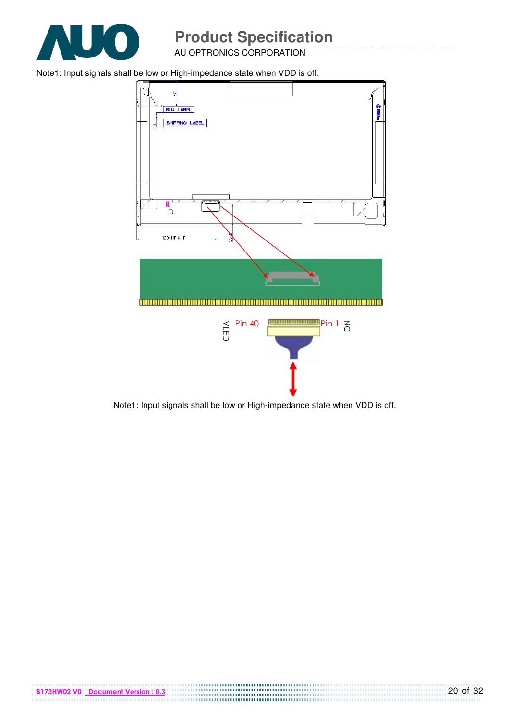

AU OPTRONICS CORPORATION

Note1: Input signals shall be low or High-impedance state when VDD is off.





B173HW02 V0 Document Version : 0.3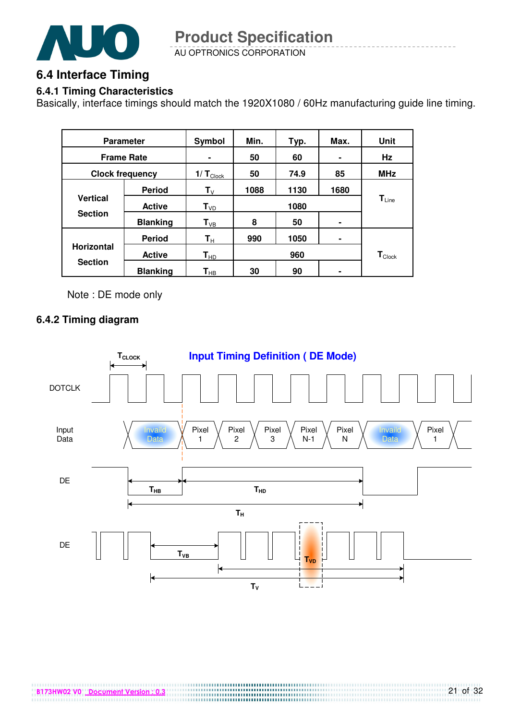

AU OPTRONICS CORPORATION **Product Specification** 

#### **6.4 Interface Timing**

#### **6.4.1 Timing Characteristics**

Basically, interface timings should match the 1920X1080 / 60Hz manufacturing guide line timing.

| <b>Parameter</b>                  |                 | Symbol                     | Min. | Typ. | Max.                         | Unit                          |
|-----------------------------------|-----------------|----------------------------|------|------|------------------------------|-------------------------------|
| <b>Frame Rate</b>                 |                 | $\blacksquare$             | 50   | 60   |                              | Hz                            |
| <b>Clock frequency</b>            |                 | 1/ $T_{\text{Cl$           | 50   | 74.9 | 85                           | <b>MHz</b>                    |
|                                   | <b>Period</b>   | $\mathsf{T}_{\mathsf{V}}$  | 1088 | 1130 | 1680                         |                               |
| <b>Vertical</b><br><b>Section</b> | <b>Active</b>   | $T_{VD}$                   | 1080 |      | $\mathsf{T}_{\mathsf{Line}}$ |                               |
|                                   | <b>Blanking</b> | $\mathsf{T}_{\texttt{VB}}$ | 8    | 50   | ۰                            |                               |
|                                   | <b>Period</b>   | $\mathsf{T}_\mathsf{H}$    | 990  | 1050 | ۰                            |                               |
| <b>Horizontal</b>                 | <b>Active</b>   | $T_{HD}$                   |      | 960  |                              | $\textsf{T}_{\textsf{Clock}}$ |
| <b>Section</b>                    | <b>Blanking</b> | $\textsf{T}_{\sf HB}$      | 30   | 90   |                              |                               |

Note : DE mode only

#### **6.4.2 Timing diagram**

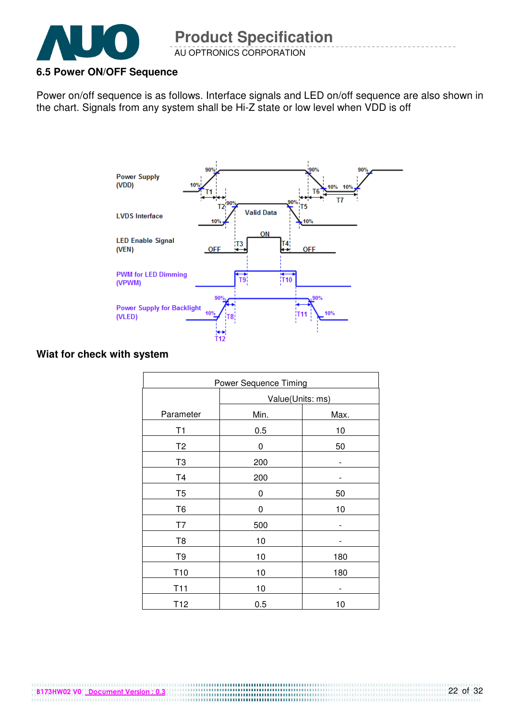

AU OPTRONICS CORPORATION

#### **6.5 Power ON/OFF Sequence**

Power on/off sequence is as follows. Interface signals and LED on/off sequence are also shown in the chart. Signals from any system shall be Hi-Z state or low level when VDD is off



#### **Wiat for check with system**

B173HW02 V0 Document Version : 0.3

| <b>Power Sequence Timing</b> |                  |      |  |  |
|------------------------------|------------------|------|--|--|
|                              | Value(Units: ms) |      |  |  |
| Parameter                    | Min.             | Max. |  |  |
| T1                           | 0.5              | 10   |  |  |
| T <sub>2</sub>               | 0                | 50   |  |  |
| T <sub>3</sub>               | 200              | -    |  |  |
| T <sub>4</sub>               | 200              |      |  |  |
| T <sub>5</sub>               | 0                | 50   |  |  |
| T <sub>6</sub>               | 0                | 10   |  |  |
| T7                           | 500              |      |  |  |
| T <sub>8</sub>               | 10               |      |  |  |
| T9                           | 10               | 180  |  |  |
| T <sub>10</sub>              | 10               | 180  |  |  |
| T <sub>11</sub>              | 10               |      |  |  |
| T <sub>12</sub>              | 0.5              | 10   |  |  |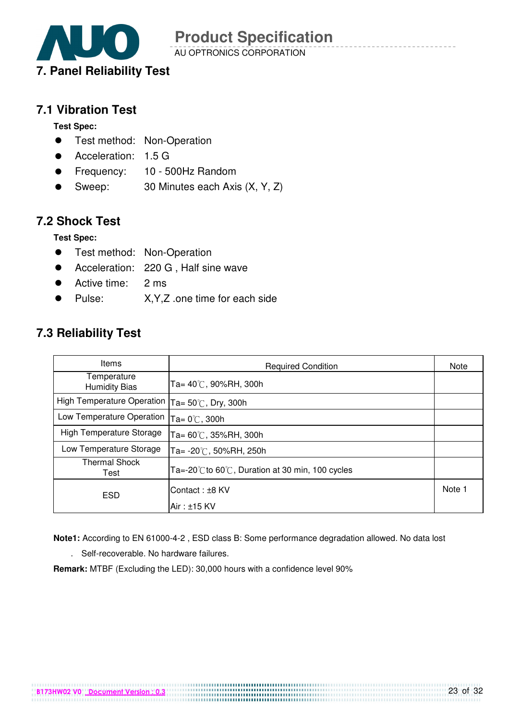

AU OPTRONICS CORPORATION

#### **7.1 Vibration Test**

**Test Spec:** 

- **•** Test method: Non-Operation
- Acceleration: 1.5 G
- Frequency: 10 500Hz Random
- Sweep: 30 Minutes each Axis (X, Y, Z)

#### **7.2 Shock Test**

**Test Spec:** 

- **•** Test method: Non-Operation
- Acceleration: 220 G , Half sine wave
- Active time: 2 ms
- Pulse: X,Y,Z .one time for each side

#### **7.3 Reliability Test**

| <b>Items</b>                        | <b>Required Condition</b>                                            | Note   |
|-------------------------------------|----------------------------------------------------------------------|--------|
| Temperature<br><b>Humidity Bias</b> | Ta= 40℃, 90%RH, 300h                                                 |        |
| High Temperature Operation          | Ta= $50^{\circ}$ C, Dry, 300h                                        |        |
| Low Temperature Operation           | Ta= $0^{\circ}$ C, 300h                                              |        |
| High Temperature Storage            | Ta= 60℃, 35%RH, 300h                                                 |        |
| Low Temperature Storage             | Ta= -20℃, 50%RH, 250h                                                |        |
| <b>Thermal Shock</b><br>Test        | Ta=-20 $\degree$ C to 60 $\degree$ C, Duration at 30 min, 100 cycles |        |
| <b>ESD</b>                          | Contact: ±8 KV                                                       | Note 1 |
|                                     | $Air : ±15$ KV                                                       |        |

**Note1:** According to EN 61000-4-2 , ESD class B: Some performance degradation allowed. No data lost

. Self-recoverable. No hardware failures.

**Remark:** MTBF (Excluding the LED): 30,000 hours with a confidence level 90%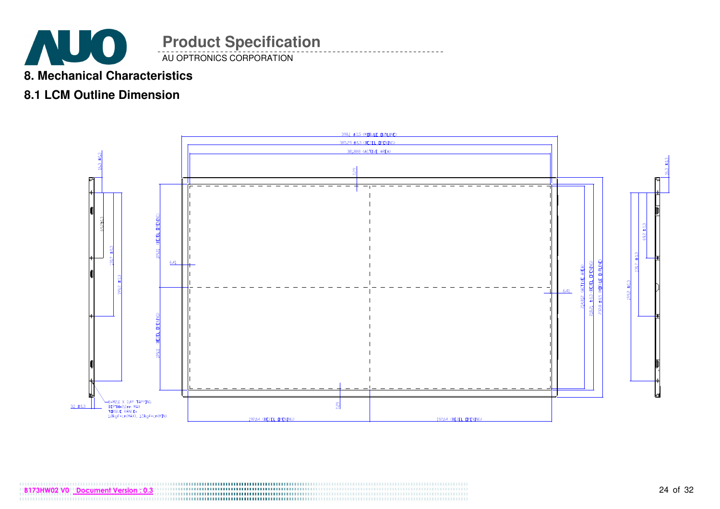

#### **8. Mechanical Characteristics**

#### **8.1 LCM Outline Dimension**

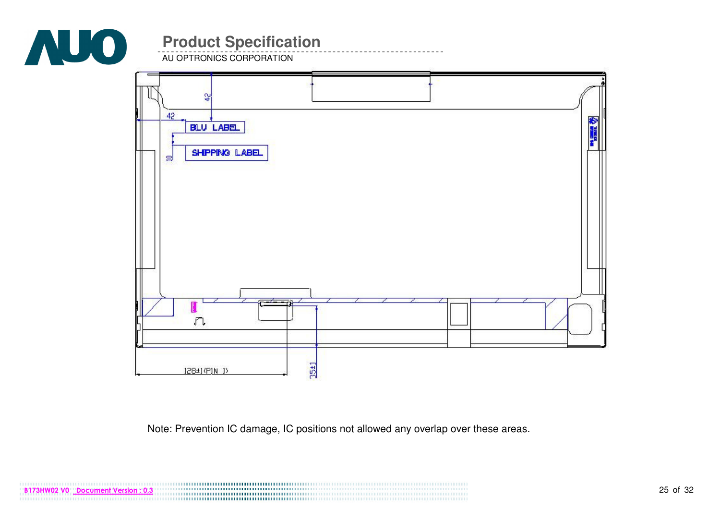

AU OPTRONICS CORPORATION



Note: Prevention IC damage, IC positions not allowed any overlap over these areas.

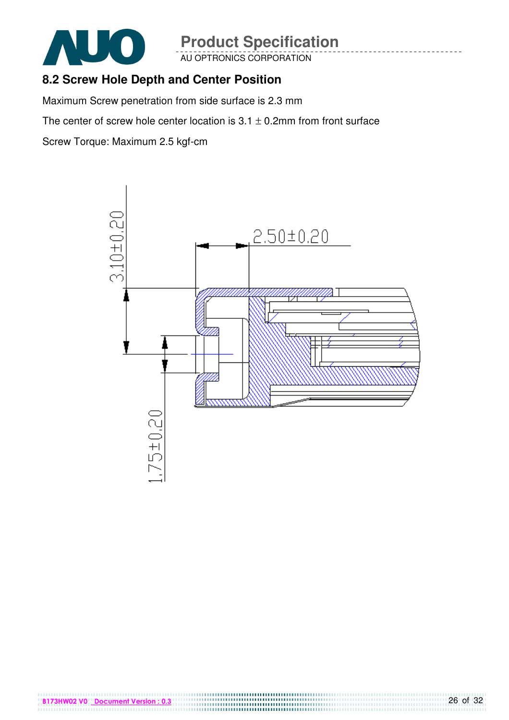

AU OPTRONICS CORPORATION

#### **8.2 Screw Hole Depth and Center Position**

Maximum Screw penetration from side surface is 2.3 mm

The center of screw hole center location is  $3.1 \pm 0.2$ mm from front surface

Screw Torque: Maximum 2.5 kgf-cm

B173HW02 V0 Document Version : 0.3

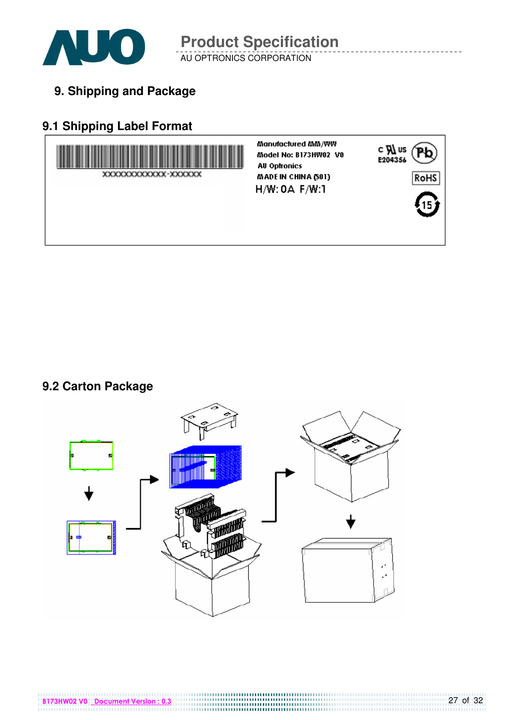

AU OPTRONICS CORPORATION **Product Specification** 

**9. Shipping and Package**

## **9.1 Shipping Label Format**



#### **9.2 Carton Package**



B173HW02 V0 Document Version : 0.3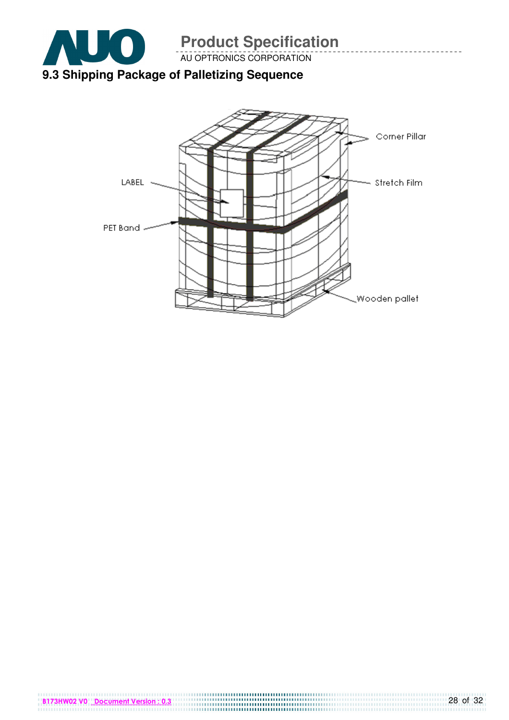

AU OPTRONICS CORPORATION

# Corner Pillar LABEL -Stretch Film PET Band. Wooden pallet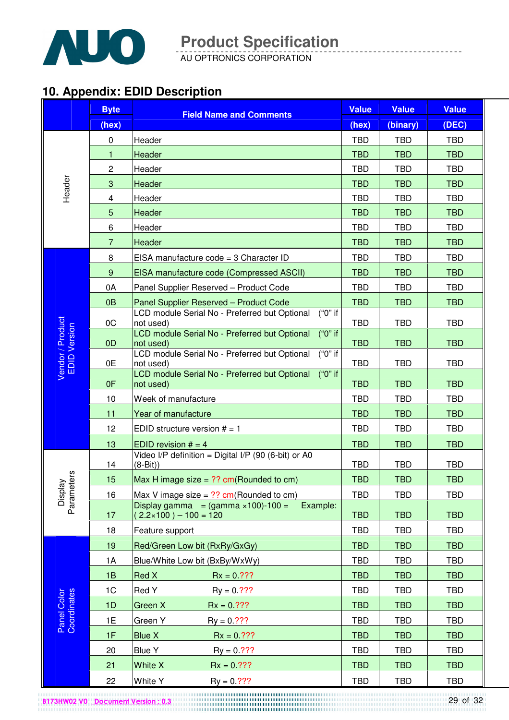

AU OPTRONICS CORPORATION

## **10. Appendix: EDID Description**

|                                  | <b>Byte</b>    | <b>Field Name and Comments</b>                                                               | <b>Value</b> | <b>Value</b> | <b>Value</b> |
|----------------------------------|----------------|----------------------------------------------------------------------------------------------|--------------|--------------|--------------|
|                                  | (hex)          |                                                                                              | (hex)        | (binary)     | (DEC)        |
|                                  | $\mathbf 0$    | Header                                                                                       | <b>TBD</b>   | <b>TBD</b>   | <b>TBD</b>   |
|                                  | 1              | Header                                                                                       | <b>TBD</b>   | <b>TBD</b>   | <b>TBD</b>   |
|                                  | $\overline{c}$ | Header                                                                                       | <b>TBD</b>   | <b>TBD</b>   | <b>TBD</b>   |
| Header                           | 3              | Header                                                                                       | <b>TBD</b>   | <b>TBD</b>   | <b>TBD</b>   |
|                                  | 4              | Header                                                                                       | <b>TBD</b>   | <b>TBD</b>   | <b>TBD</b>   |
|                                  | 5              | Header                                                                                       | <b>TBD</b>   | <b>TBD</b>   | <b>TBD</b>   |
|                                  | 6              | Header                                                                                       | <b>TBD</b>   | <b>TBD</b>   | <b>TBD</b>   |
|                                  | $\overline{7}$ | Header                                                                                       | <b>TBD</b>   | <b>TBD</b>   | <b>TBD</b>   |
|                                  | 8              | EISA manufacture code = 3 Character ID                                                       | <b>TBD</b>   | <b>TBD</b>   | <b>TBD</b>   |
|                                  | $9\,$          | EISA manufacture code (Compressed ASCII)                                                     | <b>TBD</b>   | <b>TBD</b>   | <b>TBD</b>   |
|                                  | 0A             | Panel Supplier Reserved - Product Code                                                       | <b>TBD</b>   | <b>TBD</b>   | <b>TBD</b>   |
|                                  | 0B             | Panel Supplier Reserved - Product Code                                                       | <b>TBD</b>   | <b>TBD</b>   | <b>TBD</b>   |
|                                  | OC             | LCD module Serial No - Preferred but Optional<br>$("0"$ if<br>not used)                      | <b>TBD</b>   | <b>TBD</b>   | <b>TBD</b>   |
| Vendor / Product<br>EDID Version |                | ("0" if<br>LCD module Serial No - Preferred but Optional                                     |              |              |              |
|                                  | 0D             | not used)<br>("0" if                                                                         | <b>TBD</b>   | <b>TBD</b>   | <b>TBD</b>   |
|                                  | 0E             | LCD module Serial No - Preferred but Optional<br>not used)                                   | <b>TBD</b>   | <b>TBD</b>   | <b>TBD</b>   |
|                                  | 0F             | LCD module Serial No - Preferred but Optional<br>("0" if<br>not used)                        | <b>TBD</b>   | <b>TBD</b>   | <b>TBD</b>   |
|                                  | 10             | Week of manufacture                                                                          | <b>TBD</b>   | <b>TBD</b>   | <b>TBD</b>   |
|                                  | 11             | Year of manufacture                                                                          | <b>TBD</b>   | <b>TBD</b>   | <b>TBD</b>   |
|                                  | 12             | EDID structure version $# = 1$                                                               | <b>TBD</b>   | <b>TBD</b>   | <b>TBD</b>   |
|                                  | 13             | EDID revision $# = 4$                                                                        | <b>TBD</b>   | <b>TBD</b>   | <b>TBD</b>   |
|                                  | 14             | Video I/P definition = Digital I/P (90 (6-bit) or A0<br>$(8-Bit)$                            | <b>TBD</b>   | <b>TBD</b>   | <b>TBD</b>   |
|                                  | 15             | Max H image size = $??$ cm(Rounded to cm)                                                    | <b>TBD</b>   | <b>TBD</b>   | <b>TBD</b>   |
|                                  | 16             | Max V image size = $??$ cm(Rounded to cm)                                                    | <b>TBD</b>   | <b>TBD</b>   | <b>TBD</b>   |
| Display<br>Parameters            | 17             | Display gamma = $(gamma \times 100) - 100 =$<br>Example:<br>$2.2 \times 100$ ) - $100 = 120$ | <b>TBD</b>   | <b>TBD</b>   | <b>TBD</b>   |
|                                  | 18             | Feature support                                                                              | <b>TBD</b>   | <b>TBD</b>   | <b>TBD</b>   |
|                                  | 19             | Red/Green Low bit (RxRy/GxGy)                                                                | <b>TBD</b>   | <b>TBD</b>   | <b>TBD</b>   |
|                                  | 1A             | Blue/White Low bit (BxBy/WxWy)                                                               | <b>TBD</b>   | <b>TBD</b>   | <b>TBD</b>   |
|                                  | 1B             | Red X<br>$Rx = 0.???$                                                                        | <b>TBD</b>   | <b>TBD</b>   | <b>TBD</b>   |
|                                  | 1C             | Red Y<br>$Py = 0.777$                                                                        | <b>TBD</b>   | <b>TBD</b>   | <b>TBD</b>   |
| Panel Color<br>Coordinates       | 1D             | Green X<br>$Rx = 0.77?$                                                                      | <b>TBD</b>   | <b>TBD</b>   | <b>TBD</b>   |
|                                  | 1E             | Green Y<br>$Py = 0.77?$                                                                      | <b>TBD</b>   | <b>TBD</b>   | <b>TBD</b>   |
|                                  | 1F             | <b>Blue X</b><br>$Rx = 0.???$                                                                | <b>TBD</b>   | <b>TBD</b>   | <b>TBD</b>   |
|                                  | 20             | <b>Blue Y</b><br>$Ry = 0.77$ ?                                                               | <b>TBD</b>   | <b>TBD</b>   | <b>TBD</b>   |
|                                  | 21             | <b>White X</b><br>$Rx = 0.7??$                                                               | <b>TBD</b>   | <b>TBD</b>   | <b>TBD</b>   |
|                                  | 22             | White Y<br>$Ry = 0.777$                                                                      | <b>TBD</b>   | <b>TBD</b>   | <b>TBD</b>   |

B173HW02 V0 Document Version : 0.3

<sup>29</sup> of 32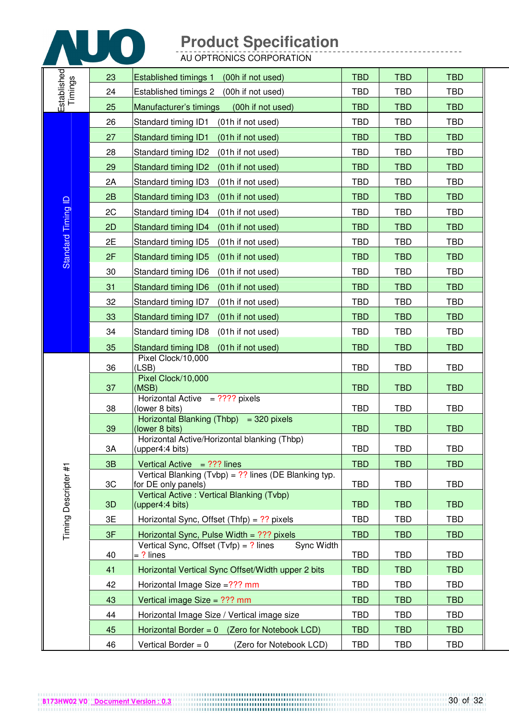

|                        | 23 | <b>Established timings 1</b><br>(00h if not used)                            | <b>TBD</b> | <b>TBD</b> | <b>TBD</b> |
|------------------------|----|------------------------------------------------------------------------------|------------|------------|------------|
|                        | 24 | Established timings 2<br>(00h if not used)                                   | <b>TBD</b> | <b>TBD</b> | <b>TBD</b> |
| Established<br>Timings | 25 | Manufacturer's timings<br>(00h if not used)                                  | <b>TBD</b> | <b>TBD</b> | <b>TBD</b> |
|                        | 26 | Standard timing ID1<br>(01h if not used)                                     | <b>TBD</b> | <b>TBD</b> | <b>TBD</b> |
|                        | 27 | Standard timing ID1<br>(01h if not used)                                     | <b>TBD</b> | <b>TBD</b> | <b>TBD</b> |
|                        | 28 | Standard timing ID2<br>(01h if not used)                                     | <b>TBD</b> | <b>TBD</b> | <b>TBD</b> |
|                        | 29 | <b>Standard timing ID2</b><br>(01h if not used)                              | <b>TBD</b> | <b>TBD</b> | <b>TBD</b> |
|                        | 2A | Standard timing ID3<br>(01h if not used)                                     | <b>TBD</b> | <b>TBD</b> | <b>TBD</b> |
|                        | 2B | <b>Standard timing ID3</b><br>(01h if not used)                              | <b>TBD</b> | <b>TBD</b> | <b>TBD</b> |
| Standard Timing ID     | 2C | Standard timing ID4<br>(01h if not used)                                     | <b>TBD</b> | <b>TBD</b> | TBD        |
|                        | 2D | Standard timing ID4<br>(01h if not used)                                     | <b>TBD</b> | <b>TBD</b> | <b>TBD</b> |
|                        | 2E | Standard timing ID5<br>(01h if not used)                                     | <b>TBD</b> | <b>TBD</b> | <b>TBD</b> |
|                        | 2F | <b>Standard timing ID5</b><br>(01h if not used)                              | <b>TBD</b> | <b>TBD</b> | <b>TBD</b> |
|                        | 30 | Standard timing ID6<br>(01h if not used)                                     | <b>TBD</b> | <b>TBD</b> | <b>TBD</b> |
|                        | 31 | <b>Standard timing ID6</b><br>(01h if not used)                              | <b>TBD</b> | <b>TBD</b> | <b>TBD</b> |
|                        | 32 | (01h if not used)<br>Standard timing ID7                                     | <b>TBD</b> | <b>TBD</b> | <b>TBD</b> |
|                        | 33 | (01h if not used)<br>Standard timing ID7                                     | <b>TBD</b> | <b>TBD</b> | <b>TBD</b> |
|                        | 34 | (01h if not used)<br>Standard timing ID8                                     | <b>TBD</b> | <b>TBD</b> | <b>TBD</b> |
|                        | 35 | (01h if not used)<br><b>Standard timing ID8</b>                              | <b>TBD</b> | <b>TBD</b> | <b>TBD</b> |
|                        | 36 | Pixel Clock/10,000<br>(LSB)                                                  | <b>TBD</b> | <b>TBD</b> | <b>TBD</b> |
|                        | 37 | Pixel Clock/10,000<br>(MSB)                                                  | <b>TBD</b> | <b>TBD</b> | <b>TBD</b> |
|                        | 38 | Horizontal Active $= ? ? ? ?$ pixels<br>(lower 8 bits)                       | <b>TBD</b> | <b>TBD</b> | <b>TBD</b> |
|                        | 39 | Horizontal Blanking (Thbp) = 320 pixels<br>(lower 8 bits)                    | <b>TBD</b> | <b>TBD</b> | <b>TBD</b> |
|                        | ЗA | Horizontal Active/Horizontal blanking (Thbp)<br>(upper4:4 bits)              | <b>TBD</b> | <b>TBD</b> | <b>TBD</b> |
|                        | 3B | Vertical Active $= ?$ ?? lines                                               | <b>TBD</b> | <b>TBD</b> | <b>TBD</b> |
| Timing Descripter #1   | 3C | Vertical Blanking (Tvbp) = ?? lines (DE Blanking typ.<br>for DE only panels) | <b>TBD</b> | <b>TBD</b> | <b>TBD</b> |
|                        | 3D | Vertical Active: Vertical Blanking (Tvbp)<br>(upper4:4 bits)                 | <b>TBD</b> | <b>TBD</b> | <b>TBD</b> |
|                        | 3E | Horizontal Sync, Offset $(Thfp) = ?$ ? pixels                                | <b>TBD</b> | <b>TBD</b> | <b>TBD</b> |
|                        | 3F | Horizontal Sync, Pulse Width = ??? pixels                                    | <b>TBD</b> | <b>TBD</b> | <b>TBD</b> |
|                        | 40 | Vertical Sync, Offset $(Tvfp) = ?$ lines<br>Sync Width<br>= ? lines          | <b>TBD</b> | <b>TBD</b> | <b>TBD</b> |
|                        | 41 | Horizontal Vertical Sync Offset/Width upper 2 bits                           | <b>TBD</b> | <b>TBD</b> | <b>TBD</b> |
|                        | 42 | Horizontal Image Size =??? mm                                                | <b>TBD</b> | <b>TBD</b> | <b>TBD</b> |
|                        | 43 | Vertical image Size = ??? mm                                                 | <b>TBD</b> | <b>TBD</b> | <b>TBD</b> |
|                        | 44 | Horizontal Image Size / Vertical image size                                  | <b>TBD</b> | <b>TBD</b> | <b>TBD</b> |
|                        | 45 | Horizontal Border = $0$ (Zero for Notebook LCD)                              | <b>TBD</b> | <b>TBD</b> | <b>TBD</b> |
|                        | 46 | Vertical Border = $0$<br>(Zero for Notebook LCD)                             | <b>TBD</b> | <b>TBD</b> | <b>TBD</b> |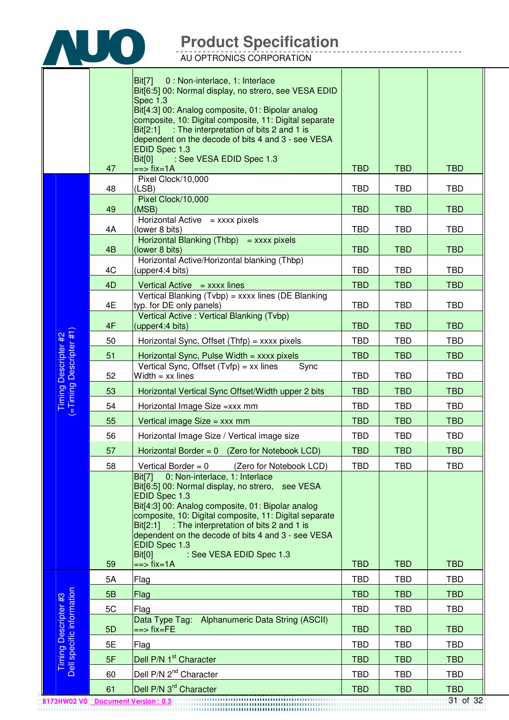

|                                                   |                | Bit[7]<br>0 : Non-interlace, 1: Interlace<br>Bit[6:5] 00: Normal display, no strero, see VESA EDID<br>Spec 1.3<br>Bit[4:3] 00: Analog composite, 01: Bipolar analog<br>composite, 10: Digital composite, 11: Digital separate<br>$Bit[2:1]$ : The interpretation of bits 2 and 1 is<br>dependent on the decode of bits 4 and 3 - see VESA<br>EDID Spec 1.3<br>Bit[0]<br>: See VESA EDID Spec 1.3               |            |            |            |
|---------------------------------------------------|----------------|----------------------------------------------------------------------------------------------------------------------------------------------------------------------------------------------------------------------------------------------------------------------------------------------------------------------------------------------------------------------------------------------------------------|------------|------------|------------|
|                                                   | 47             | $==$ fix=1A                                                                                                                                                                                                                                                                                                                                                                                                    | <b>TBD</b> | <b>TBD</b> | <b>TBD</b> |
|                                                   | 48             | Pixel Clock/10,000<br>(LSB)                                                                                                                                                                                                                                                                                                                                                                                    | <b>TBD</b> | <b>TBD</b> | <b>TBD</b> |
|                                                   | 49             | Pixel Clock/10,000<br>(MSB)                                                                                                                                                                                                                                                                                                                                                                                    | <b>TBD</b> | <b>TBD</b> | <b>TBD</b> |
|                                                   | 4A             | Horizontal Active $=$ xxxx pixels<br>(lower 8 bits)                                                                                                                                                                                                                                                                                                                                                            | <b>TBD</b> | TBD        | <b>TBD</b> |
|                                                   | 4 <sub>B</sub> | Horizontal Blanking (Thbp) = $xxxxx$ pixels<br>(lower 8 bits)                                                                                                                                                                                                                                                                                                                                                  | <b>TBD</b> | <b>TBD</b> | <b>TBD</b> |
|                                                   | 4C             | Horizontal Active/Horizontal blanking (Thbp)<br>(upper4:4 bits)                                                                                                                                                                                                                                                                                                                                                | <b>TBD</b> | TBD        | <b>TBD</b> |
|                                                   | 4D             | Vertical Active $=$ xxxx lines                                                                                                                                                                                                                                                                                                                                                                                 | <b>TBD</b> | <b>TBD</b> | <b>TBD</b> |
|                                                   | 4E             | Vertical Blanking (Tvbp) = xxxx lines (DE Blanking<br>typ. for DE only panels)                                                                                                                                                                                                                                                                                                                                 | <b>TBD</b> | <b>TBD</b> | <b>TBD</b> |
|                                                   | 4F             | Vertical Active: Vertical Blanking (Tvbp)<br>(upper4:4 bits)                                                                                                                                                                                                                                                                                                                                                   | <b>TBD</b> | <b>TBD</b> | <b>TBD</b> |
|                                                   | 50             | Horizontal Sync, Offset $(Thfp) =$ xxxx pixels                                                                                                                                                                                                                                                                                                                                                                 | <b>TBD</b> | <b>TBD</b> | <b>TBD</b> |
|                                                   | 51             | Horizontal Sync, Pulse Width $=$ xxxx pixels                                                                                                                                                                                                                                                                                                                                                                   | <b>TBD</b> | <b>TBD</b> | <b>TBD</b> |
| Timing Descripter #2<br>(=Timing Descripter #1)   | 52             | Vertical Sync, Offset $(Tvfp) = xx$ lines<br>Sync<br>Width $=$ xx lines                                                                                                                                                                                                                                                                                                                                        | <b>TBD</b> | <b>TBD</b> | <b>TBD</b> |
|                                                   | 53             | Horizontal Vertical Sync Offset/Width upper 2 bits                                                                                                                                                                                                                                                                                                                                                             | <b>TBD</b> | <b>TBD</b> | <b>TBD</b> |
|                                                   | 54             | Horizontal Image Size = xxx mm                                                                                                                                                                                                                                                                                                                                                                                 | <b>TBD</b> | <b>TBD</b> | <b>TBD</b> |
|                                                   | 55             | Vertical image Size = xxx mm                                                                                                                                                                                                                                                                                                                                                                                   | <b>TBD</b> | <b>TBD</b> | <b>TBD</b> |
|                                                   | 56             | Horizontal Image Size / Vertical image size                                                                                                                                                                                                                                                                                                                                                                    | <b>TBD</b> | <b>TBD</b> | <b>TBD</b> |
|                                                   | 57             | Horizontal Border = $0$ (Zero for Notebook LCD)                                                                                                                                                                                                                                                                                                                                                                | <b>TBD</b> | <b>TBD</b> | <b>TBD</b> |
|                                                   | 58             | Vertical Border = $0$ (Zero for Notebook LCD)                                                                                                                                                                                                                                                                                                                                                                  | <b>TBD</b> | <b>TBD</b> | <b>TBD</b> |
|                                                   | 59             | 0: Non-interlace, 1: Interlace<br>Bit[7]<br>Bit[6:5] 00: Normal display, no strero, see VESA<br>EDID Spec 1.3<br>Bit[4:3] 00: Analog composite, 01: Bipolar analog<br>composite, 10: Digital composite, 11: Digital separate<br>$Bit[2:1]$ : The interpretation of bits 2 and 1 is<br>dependent on the decode of bits 4 and 3 - see VESA<br>EDID Spec 1.3<br>: See VESA EDID Spec 1.3<br>Bit[0]<br>$==$ fix=1A | <b>TBD</b> | <b>TBD</b> | <b>TBD</b> |
|                                                   | 5A             | Flag                                                                                                                                                                                                                                                                                                                                                                                                           | <b>TBD</b> | <b>TBD</b> | <b>TBD</b> |
|                                                   | 5B             | <b>Flag</b>                                                                                                                                                                                                                                                                                                                                                                                                    | <b>TBD</b> | <b>TBD</b> | <b>TBD</b> |
|                                                   | 5C             | Flag                                                                                                                                                                                                                                                                                                                                                                                                           | <b>TBD</b> | <b>TBD</b> | <b>TBD</b> |
| Timing Descripter #3<br>Dell specific information | 5D             | Data Type Tag: Alphanumeric Data String (ASCII)<br>==> fix=FE                                                                                                                                                                                                                                                                                                                                                  | <b>TBD</b> | <b>TBD</b> | <b>TBD</b> |
|                                                   | 5E             | Flag                                                                                                                                                                                                                                                                                                                                                                                                           | <b>TBD</b> | <b>TBD</b> | <b>TBD</b> |
|                                                   | 5F             | Dell P/N 1 <sup>st</sup> Character                                                                                                                                                                                                                                                                                                                                                                             | <b>TBD</b> | <b>TBD</b> | <b>TBD</b> |
|                                                   | 60             | Dell P/N 2 <sup>nd</sup> Character                                                                                                                                                                                                                                                                                                                                                                             | <b>TBD</b> | <b>TBD</b> | <b>TBD</b> |
|                                                   | 61             | Dell P/N 3 <sup>rd</sup> Character                                                                                                                                                                                                                                                                                                                                                                             | <b>TBD</b> | <b>TBD</b> | <b>TBD</b> |
| B173HW02 V0 Document Version: 0.3                 |                |                                                                                                                                                                                                                                                                                                                                                                                                                |            |            | 31 of 32   |